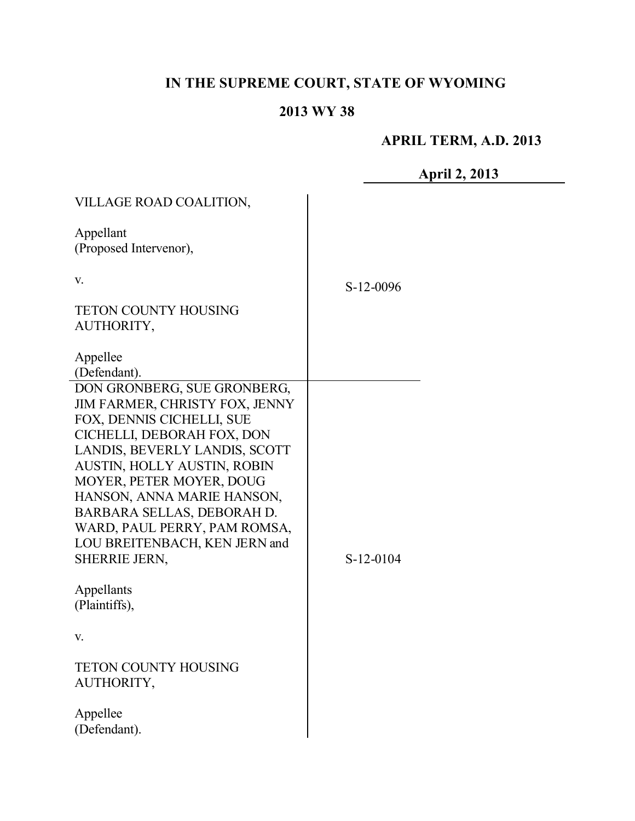# **IN THE SUPREME COURT, STATE OF WYOMING**

# **2013 WY 38**

# **APRIL TERM, A.D. 2013**

|                                                                                                                                                                                                                                                                                                                                                                    | A         |
|--------------------------------------------------------------------------------------------------------------------------------------------------------------------------------------------------------------------------------------------------------------------------------------------------------------------------------------------------------------------|-----------|
| VILLAGE ROAD COALITION,                                                                                                                                                                                                                                                                                                                                            |           |
| Appellant<br>(Proposed Intervenor),                                                                                                                                                                                                                                                                                                                                |           |
| V.                                                                                                                                                                                                                                                                                                                                                                 | S-12-0096 |
| <b>TETON COUNTY HOUSING</b><br>AUTHORITY,                                                                                                                                                                                                                                                                                                                          |           |
| Appellee<br>(Defendant).                                                                                                                                                                                                                                                                                                                                           |           |
| DON GRONBERG, SUE GRONBERG,<br>JIM FARMER, CHRISTY FOX, JENNY<br>FOX, DENNIS CICHELLI, SUE<br>CICHELLI, DEBORAH FOX, DON<br>LANDIS, BEVERLY LANDIS, SCOTT<br>AUSTIN, HOLLY AUSTIN, ROBIN<br>MOYER, PETER MOYER, DOUG<br>HANSON, ANNA MARIE HANSON,<br>BARBARA SELLAS, DEBORAH D.<br>WARD, PAUL PERRY, PAM ROMSA,<br>LOU BREITENBACH, KEN JERN and<br>SHERRIE JERN, | S-12-0104 |
| Appellants<br>(Plaintiffs),                                                                                                                                                                                                                                                                                                                                        |           |
| V.                                                                                                                                                                                                                                                                                                                                                                 |           |
| <b>TETON COUNTY HOUSING</b><br>AUTHORITY,                                                                                                                                                                                                                                                                                                                          |           |
| Appellee<br>(Defendant).                                                                                                                                                                                                                                                                                                                                           |           |

**April 2, 2013**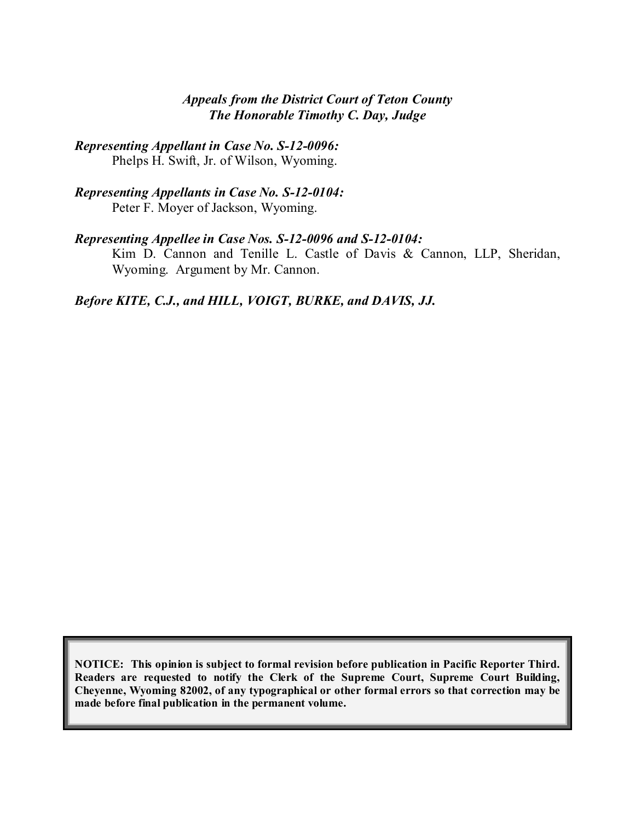## *Appeals from the District Court of Teton County The Honorable Timothy C. Day, Judge*

*Representing Appellant in Case No. S-12-0096:* Phelps H. Swift, Jr. of Wilson, Wyoming.

*Representing Appellants in Case No. S-12-0104:* Peter F. Moyer of Jackson, Wyoming.

#### *Representing Appellee in Case Nos. S-12-0096 and S-12-0104:*

Kim D. Cannon and Tenille L. Castle of Davis & Cannon, LLP, Sheridan, Wyoming. Argument by Mr. Cannon.

*Before KITE, C.J., and HILL, VOIGT, BURKE, and DAVIS, JJ.*

**NOTICE: This opinion is subject to formal revision before publication in Pacific Reporter Third. Readers are requested to notify the Clerk of the Supreme Court, Supreme Court Building, Cheyenne, Wyoming 82002, of any typographical or other formal errors so that correction may be made before final publication in the permanent volume.**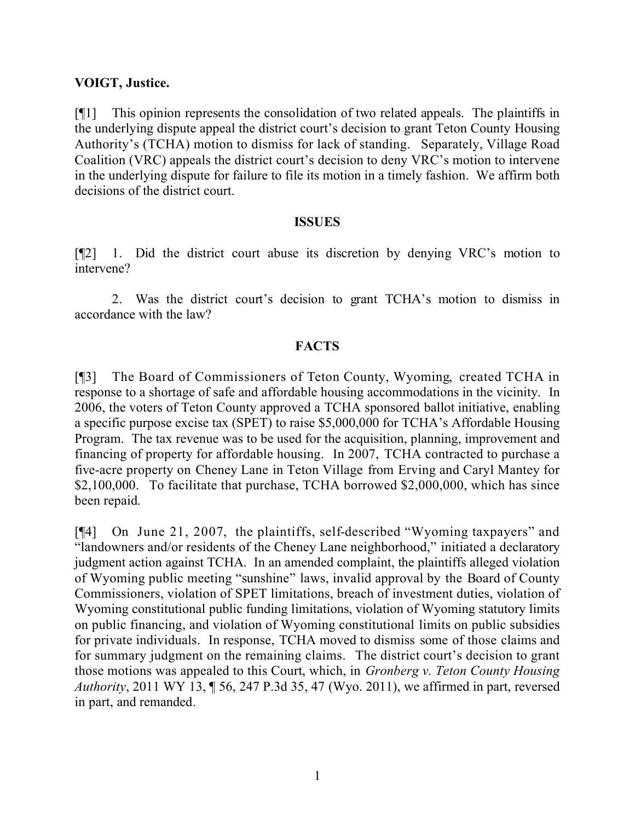### **VOIGT, Justice.**

[¶1] This opinion represents the consolidation of two related appeals. The plaintiffs in the underlying dispute appeal the district court's decision to grant Teton County Housing Authority's (TCHA) motion to dismiss for lack of standing. Separately, Village Road Coalition (VRC) appeals the district court's decision to deny VRC's motion to intervene in the underlying dispute for failure to file its motion in a timely fashion. We affirm both decisions of the district court.

#### **ISSUES**

[¶2] 1. Did the district court abuse its discretion by denying VRC's motion to intervene?

2. Was the district court's decision to grant TCHA's motion to dismiss in accordance with the law?

## **FACTS**

[¶3] The Board of Commissioners of Teton County, Wyoming, created TCHA in response to a shortage of safe and affordable housing accommodations in the vicinity. In 2006, the voters of Teton County approved a TCHA sponsored ballot initiative, enabling a specific purpose excise tax (SPET) to raise \$5,000,000 for TCHA's Affordable Housing Program. The tax revenue was to be used for the acquisition, planning, improvement and financing of property for affordable housing. In 2007, TCHA contracted to purchase a five-acre property on Cheney Lane in Teton Village from Erving and Caryl Mantey for \$2,100,000. To facilitate that purchase, TCHA borrowed \$2,000,000, which has since been repaid.

[¶4] On June 21, 2007, the plaintiffs, self-described "Wyoming taxpayers" and "landowners and/or residents of the Cheney Lane neighborhood," initiated a declaratory judgment action against TCHA. In an amended complaint, the plaintiffs alleged violation of Wyoming public meeting "sunshine" laws, invalid approval by the Board of County Commissioners, violation of SPET limitations, breach of investment duties, violation of Wyoming constitutional public funding limitations, violation of Wyoming statutory limits on public financing, and violation of Wyoming constitutional limits on public subsidies for private individuals. In response, TCHA moved to dismiss some of those claims and for summary judgment on the remaining claims. The district court's decision to grant those motions was appealed to this Court, which, in *Gronberg v. Teton County Housing Authority*, 2011 WY 13, ¶ 56, 247 P.3d 35, 47 (Wyo. 2011), we affirmed in part, reversed in part, and remanded.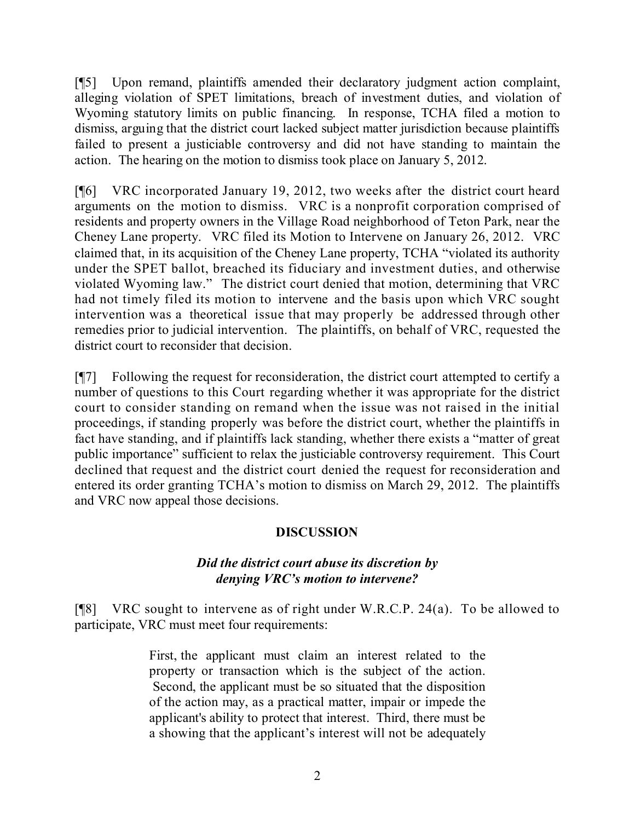[¶5] Upon remand, plaintiffs amended their declaratory judgment action complaint, alleging violation of SPET limitations, breach of investment duties, and violation of Wyoming statutory limits on public financing. In response, TCHA filed a motion to dismiss, arguing that the district court lacked subject matter jurisdiction because plaintiffs failed to present a justiciable controversy and did not have standing to maintain the action. The hearing on the motion to dismiss took place on January 5, 2012.

[¶6] VRC incorporated January 19, 2012, two weeks after the district court heard arguments on the motion to dismiss. VRC is a nonprofit corporation comprised of residents and property owners in the Village Road neighborhood of Teton Park, near the Cheney Lane property. VRC filed its Motion to Intervene on January 26, 2012. VRC claimed that, in its acquisition of the Cheney Lane property, TCHA "violated its authority under the SPET ballot, breached its fiduciary and investment duties, and otherwise violated Wyoming law." The district court denied that motion, determining that VRC had not timely filed its motion to intervene and the basis upon which VRC sought intervention was a theoretical issue that may properly be addressed through other remedies prior to judicial intervention. The plaintiffs, on behalf of VRC, requested the district court to reconsider that decision.

[¶7] Following the request for reconsideration, the district court attempted to certify a number of questions to this Court regarding whether it was appropriate for the district court to consider standing on remand when the issue was not raised in the initial proceedings, if standing properly was before the district court, whether the plaintiffs in fact have standing, and if plaintiffs lack standing, whether there exists a "matter of great public importance" sufficient to relax the justiciable controversy requirement. This Court declined that request and the district court denied the request for reconsideration and entered its order granting TCHA's motion to dismiss on March 29, 2012. The plaintiffs and VRC now appeal those decisions.

## **DISCUSSION**

## *Did the district court abuse its discretion by denying VRC's motion to intervene?*

[¶8] VRC sought to intervene as of right under W.R.C.P. 24(a). To be allowed to participate, VRC must meet four requirements:

> First, the applicant must claim an interest related to the property or transaction which is the subject of the action. Second, the applicant must be so situated that the disposition of the action may, as a practical matter, impair or impede the applicant's ability to protect that interest. Third, there must be a showing that the applicant's interest will not be adequately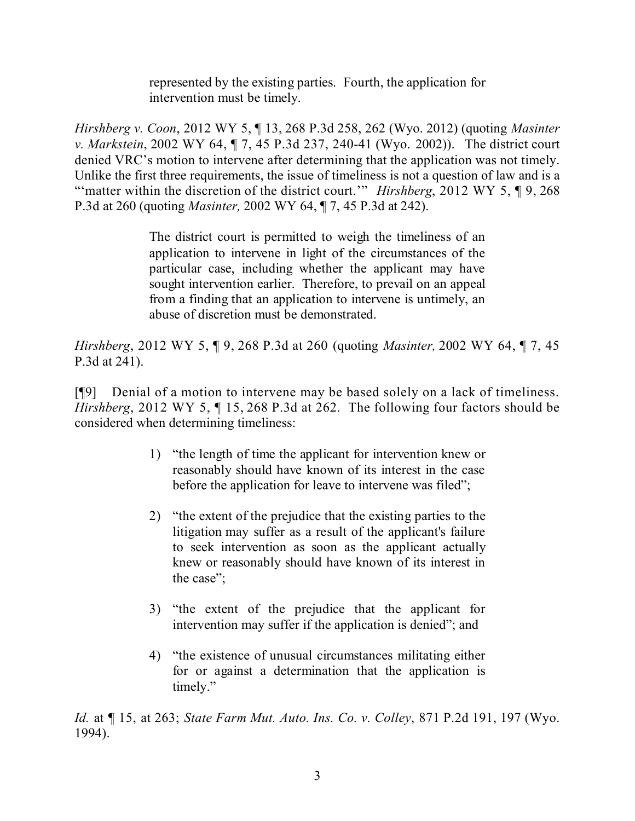represented by the existing parties. Fourth, the application for intervention must be timely.

*Hirshberg v. Coon*, 2012 WY 5, ¶ 13, 268 P.3d 258, 262 (Wyo. 2012) (quoting *Masinter v. Markstein*, 2002 WY 64, ¶ 7, 45 P.3d 237, 240-41 (Wyo. 2002)). The district court denied VRC's motion to intervene after determining that the application was not timely. Unlike the first three requirements, the issue of timeliness is not a question of law and is a "'matter within the discretion of the district court.'" *Hirshberg*, 2012 WY 5, ¶ 9, 268 P.3d at 260 (quoting *Masinter,* 2002 WY 64, ¶ 7, 45 P.3d at 242).

> The district court is permitted to weigh the timeliness of an application to intervene in light of the circumstances of the particular case, including whether the applicant may have sought intervention earlier. Therefore, to prevail on an appeal from a finding that an application to intervene is untimely, an abuse of discretion must be demonstrated.

*Hirshberg*, 2012 WY 5, ¶ 9, 268 P.3d at 260 (quoting *Masinter,* 2002 WY 64, ¶ 7, 45 P.3d at 241).

[¶9] Denial of a motion to intervene may be based solely on a lack of timeliness. *Hirshberg*, 2012 WY 5, ¶ 15, 268 P.3d at 262. The following four factors should be considered when determining timeliness:

- 1) "the length of time the applicant for intervention knew or reasonably should have known of its interest in the case before the application for leave to intervene was filed";
- 2) "the extent of the prejudice that the existing parties to the litigation may suffer as a result of the applicant's failure to seek intervention as soon as the applicant actually knew or reasonably should have known of its interest in the case";
- 3) "the extent of the prejudice that the applicant for intervention may suffer if the application is denied"; and
- 4) "the existence of unusual circumstances militating either for or against a determination that the application is timely."

*Id.* at ¶ 15, at 263; *State Farm Mut. Auto. Ins. Co. v. Colley*, 871 P.2d 191, 197 (Wyo. 1994).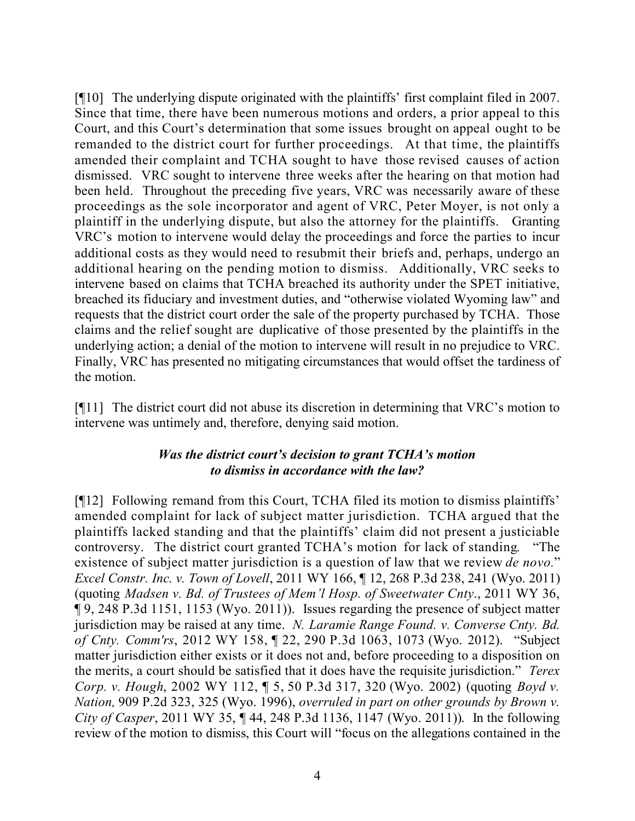[¶10] The underlying dispute originated with the plaintiffs' first complaint filed in 2007. Since that time, there have been numerous motions and orders, a prior appeal to this Court, and this Court's determination that some issues brought on appeal ought to be remanded to the district court for further proceedings. At that time, the plaintiffs amended their complaint and TCHA sought to have those revised causes of action dismissed. VRC sought to intervene three weeks after the hearing on that motion had been held. Throughout the preceding five years, VRC was necessarily aware of these proceedings as the sole incorporator and agent of VRC, Peter Moyer, is not only a plaintiff in the underlying dispute, but also the attorney for the plaintiffs. Granting VRC's motion to intervene would delay the proceedings and force the parties to incur additional costs as they would need to resubmit their briefs and, perhaps, undergo an additional hearing on the pending motion to dismiss. Additionally, VRC seeks to intervene based on claims that TCHA breached its authority under the SPET initiative, breached its fiduciary and investment duties, and "otherwise violated Wyoming law" and requests that the district court order the sale of the property purchased by TCHA. Those claims and the relief sought are duplicative of those presented by the plaintiffs in the underlying action; a denial of the motion to intervene will result in no prejudice to VRC. Finally, VRC has presented no mitigating circumstances that would offset the tardiness of the motion.

[¶11] The district court did not abuse its discretion in determining that VRC's motion to intervene was untimely and, therefore, denying said motion.

## *Was the district court's decision to grant TCHA's motion to dismiss in accordance with the law?*

[¶12] Following remand from this Court, TCHA filed its motion to dismiss plaintiffs' amended complaint for lack of subject matter jurisdiction. TCHA argued that the plaintiffs lacked standing and that the plaintiffs' claim did not present a justiciable controversy. The district court granted TCHA's motion for lack of standing. "The existence of subject matter jurisdiction is a question of law that we review *de novo.*" *Excel Constr. Inc. v. Town of Lovell*, 2011 WY 166, ¶ 12, 268 P.3d 238, 241 (Wyo. 2011) (quoting *Madsen v. Bd. of Trustees of Mem'l Hosp. of Sweetwater Cnty*., 2011 WY 36, ¶ 9, 248 P.3d 1151, 1153 (Wyo. 2011)). Issues regarding the presence of subject matter jurisdiction may be raised at any time. *N. Laramie Range Found. v. Converse Cnty. Bd. of Cnty. Comm'rs*, 2012 WY 158, ¶ 22, 290 P.3d 1063, 1073 (Wyo. 2012). "Subject matter jurisdiction either exists or it does not and, before proceeding to a disposition on the merits, a court should be satisfied that it does have the requisite jurisdiction." *Terex Corp. v. Hough*, 2002 WY 112, ¶ 5, 50 P.3d 317, 320 (Wyo. 2002) (quoting *Boyd v. Nation,* 909 P.2d 323, 325 (Wyo. 1996), *overruled in part on other grounds by Brown v. City of Casper*, 2011 WY 35, ¶ 44, 248 P.3d 1136, 1147 (Wyo. 2011)). In the following review of the motion to dismiss, this Court will "focus on the allegations contained in the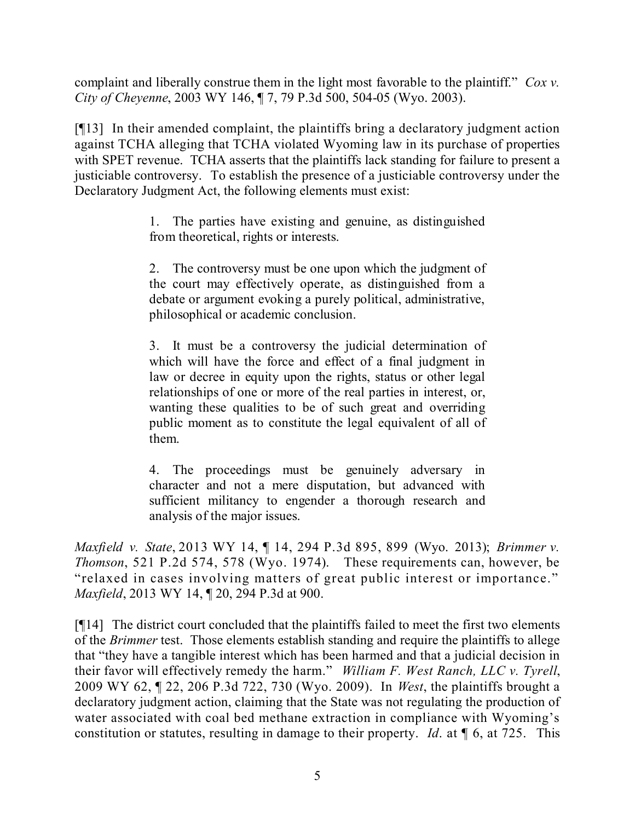complaint and liberally construe them in the light most favorable to the plaintiff." *Cox v. City of Cheyenne*, 2003 WY 146, ¶ 7, 79 P.3d 500, 504-05 (Wyo. 2003).

[¶13] In their amended complaint, the plaintiffs bring a declaratory judgment action against TCHA alleging that TCHA violated Wyoming law in its purchase of properties with SPET revenue. TCHA asserts that the plaintiffs lack standing for failure to present a justiciable controversy. To establish the presence of a justiciable controversy under the Declaratory Judgment Act, the following elements must exist:

> 1. The parties have existing and genuine, as distinguished from theoretical, rights or interests.

> 2. The controversy must be one upon which the judgment of the court may effectively operate, as distinguished from a debate or argument evoking a purely political, administrative, philosophical or academic conclusion.

> 3. It must be a controversy the judicial determination of which will have the force and effect of a final judgment in law or decree in equity upon the rights, status or other legal relationships of one or more of the real parties in interest, or, wanting these qualities to be of such great and overriding public moment as to constitute the legal equivalent of all of them.

> 4. The proceedings must be genuinely adversary in character and not a mere disputation, but advanced with sufficient militancy to engender a thorough research and analysis of the major issues.

*Maxfield v. State*, 2013 WY 14, ¶ 14, 294 P.3d 895, 899 (Wyo. 2013); *Brimmer v. Thomson*, 521 P.2d 574, 578 (Wyo. 1974). These requirements can, however, be "relaxed in cases involving matters of great public interest or importance." *Maxfield*, 2013 WY 14, ¶ 20, 294 P.3d at 900.

[¶14] The district court concluded that the plaintiffs failed to meet the first two elements of the *Brimmer* test. Those elements establish standing and require the plaintiffs to allege that "they have a tangible interest which has been harmed and that a judicial decision in their favor will effectively remedy the harm." *William F. West Ranch, LLC v. Tyrell*, 2009 WY 62, ¶ 22, 206 P.3d 722, 730 (Wyo. 2009). In *West*, the plaintiffs brought a declaratory judgment action, claiming that the State was not regulating the production of water associated with coal bed methane extraction in compliance with Wyoming's constitution or statutes, resulting in damage to their property. *Id*. at ¶ 6, at 725. This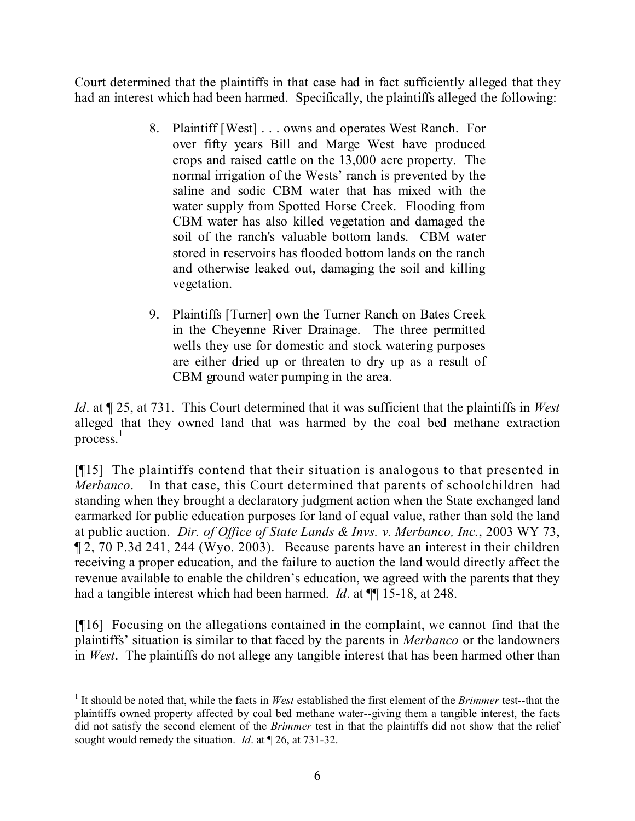Court determined that the plaintiffs in that case had in fact sufficiently alleged that they had an interest which had been harmed. Specifically, the plaintiffs alleged the following:

- 8. Plaintiff [West] . . . owns and operates West Ranch. For over fifty years Bill and Marge West have produced crops and raised cattle on the 13,000 acre property. The normal irrigation of the Wests' ranch is prevented by the saline and sodic CBM water that has mixed with the water supply from Spotted Horse Creek. Flooding from CBM water has also killed vegetation and damaged the soil of the ranch's valuable bottom lands. CBM water stored in reservoirs has flooded bottom lands on the ranch and otherwise leaked out, damaging the soil and killing vegetation.
- 9. Plaintiffs [Turner] own the Turner Ranch on Bates Creek in the Cheyenne River Drainage. The three permitted wells they use for domestic and stock watering purposes are either dried up or threaten to dry up as a result of CBM ground water pumping in the area.

*Id*. at ¶ 25, at 731. This Court determined that it was sufficient that the plaintiffs in *West* alleged that they owned land that was harmed by the coal bed methane extraction process. 1

[¶15] The plaintiffs contend that their situation is analogous to that presented in *Merbanco*. In that case, this Court determined that parents of schoolchildren had standing when they brought a declaratory judgment action when the State exchanged land earmarked for public education purposes for land of equal value, rather than sold the land at public auction. *Dir. of Office of State Lands & Invs. v. Merbanco, Inc.*, 2003 WY 73, ¶ 2, 70 P.3d 241, 244 (Wyo. 2003). Because parents have an interest in their children receiving a proper education, and the failure to auction the land would directly affect the revenue available to enable the children's education, we agreed with the parents that they had a tangible interest which had been harmed. *Id.* at  $\P$  15-18, at 248.

[¶16] Focusing on the allegations contained in the complaint, we cannot find that the plaintiffs' situation is similar to that faced by the parents in *Merbanco* or the landowners in *West*. The plaintiffs do not allege any tangible interest that has been harmed other than

 $\overline{a}$ 

<sup>1</sup> It should be noted that, while the facts in *West* established the first element of the *Brimmer* test--that the plaintiffs owned property affected by coal bed methane water--giving them a tangible interest, the facts did not satisfy the second element of the *Brimmer* test in that the plaintiffs did not show that the relief sought would remedy the situation. *Id*. at ¶ 26, at 731-32.